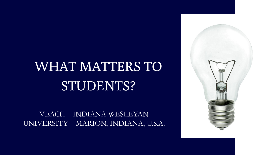## WHAT MATTERS TO STUDENTS?

VEACH – INDIANA WESLEYAN UNIVERSITY—MARION, INDIANA, U.S.A.

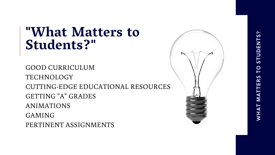## "What Matters to Students?"

GOOD CURRICULUM TECHNOLOGY CUTTING-EDGE EDUCATIONAL RESOURCES GETTING "A" GRADES ANIMATIONS GAMING PERTINENT ASSIGNMENTS

# **STUDENTS?** TO WHAT MATTERS

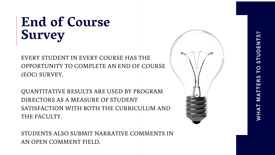## End of Course Survey

EVERY STUDENT IN EVERY COURSE HAS THE OPPORTUNITY TO COMPLETE AN END OF COURSE (EOC) SURVEY.

QUANTITATIVE RESULTS ARE USED BY PROGRAM DIRECTORS AS A MEASURE OF STUDENT SATISFACTION WITH BOTH THE CURRICULUM AND THE FACULTY.

STUDENTS ALSO SUBMIT NARRATIVE COMMENTS IN AN OPEN COMMENT FIELD.

# **STUDENTS?** PO WHAT MATTERS

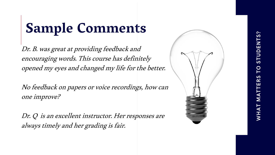## Sample Comments

Dr. B. was great at providing feedback and encouraging words. This course has definitely opened my eyes and changed my life for the better.

No feedback on papers or voice recordings, how can one improve?

Dr. Q is an excellent instructor. Her responses are always timely and her grading is fair.

# WHAT MATTERS TO STUDENTS?

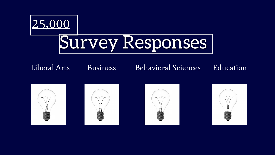## 25,000 Survey Responses

### Liberal Arts Business Behavioral Sciences Education









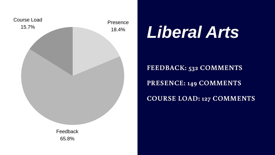## *Liberal Arts*

- **FEEDBACK: 532 COMMENTS**
- **PRESENCE: 149 COMMENTS**
- **COURSE LOAD: 127 COMMENTS**

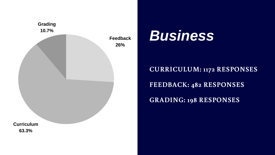## *Business*

**CURRICULUM: 1172 RESPONSES FEEDBACK: 482 RESPONSES GRADING: 198 RESPONSES**

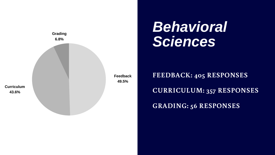## *Behavioral Sciences*

**FEEDBACK: 405 RESPONSES CURRICULUM: 357 RESPONSES GRADING: 56 RESPONSES**

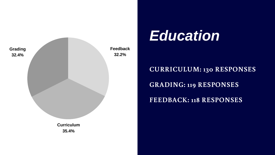## *Education*

- **CURRICULUM: 130 RESPONSES**
- **GRADING: 119 RESPONSES**
- **FEEDBACK: 118 RESPONSES**